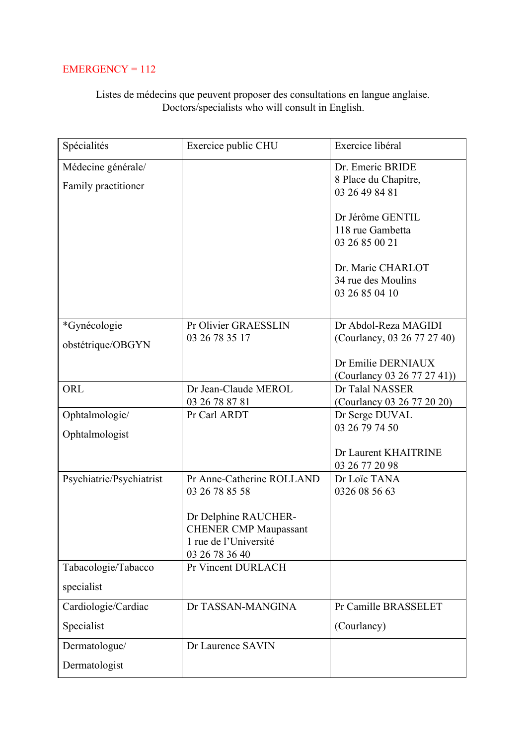## $EMERGENCY = 112$

## Listes de médecins que peuvent proposer des consultations en langue anglaise. Doctors/specialists who will consult in English.

| Spécialités              | Exercice public CHU                     | Exercice libéral            |
|--------------------------|-----------------------------------------|-----------------------------|
| Médecine générale/       |                                         | Dr. Emeric BRIDE            |
| Family practitioner      |                                         | 8 Place du Chapitre,        |
|                          |                                         | 03 26 49 84 81              |
|                          |                                         | Dr Jérôme GENTIL            |
|                          |                                         | 118 rue Gambetta            |
|                          |                                         | 03 26 85 00 21              |
|                          |                                         | Dr. Marie CHARLOT           |
|                          |                                         | 34 rue des Moulins          |
|                          |                                         | 03 26 85 04 10              |
| *Gynécologie             | Pr Olivier GRAESSLIN                    | Dr Abdol-Reza MAGIDI        |
|                          | 03 26 78 35 17                          | (Courlancy, 03 26 77 27 40) |
| obstétrique/OBGYN        |                                         |                             |
|                          |                                         | Dr Emilie DERNIAUX          |
|                          |                                         | (Courlancy 03 26 77 27 41)) |
| ORL                      | Dr Jean-Claude MEROL                    | Dr Talal NASSER             |
|                          | 03 26 78 87 81                          | (Courlancy 03 26 77 20 20)  |
| Ophtalmologie/           | Pr Carl ARDT                            | Dr Serge DUVAL              |
| Ophtalmologist           |                                         | 03 26 79 74 50              |
|                          |                                         | Dr Laurent KHAITRINE        |
|                          |                                         | 03 26 77 20 98              |
| Psychiatrie/Psychiatrist | Pr Anne-Catherine ROLLAND               | Dr Loïc TANA                |
|                          | 03 26 78 85 58                          | 0326 08 56 63               |
|                          |                                         |                             |
|                          | Dr Delphine RAUCHER-                    |                             |
|                          | <b>CHENER CMP Maupassant</b>            |                             |
|                          | 1 rue de l'Université<br>03 26 78 36 40 |                             |
| Tabacologie/Tabacco      | Pr Vincent DURLACH                      |                             |
| specialist               |                                         |                             |
| Cardiologie/Cardiac      | Dr TASSAN-MANGINA                       | Pr Camille BRASSELET        |
| Specialist               |                                         | (Courlancy)                 |
| Dermatologue/            | Dr Laurence SAVIN                       |                             |
| Dermatologist            |                                         |                             |